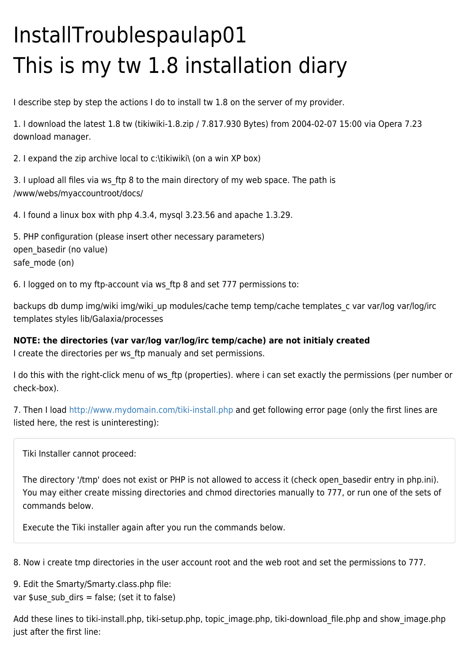## InstallTroublespaulap01 This is my tw 1.8 installation diary

I describe step by step the actions I do to install tw 1.8 on the server of my provider.

1. I download the latest 1.8 tw (tikiwiki-1.8.zip / 7.817.930 Bytes) from 2004-02-07 15:00 via Opera 7.23 download manager.

2. I expand the zip archive local to c:\tikiwiki\ (on a win XP box)

3. I upload all files via ws\_ftp 8 to the main directory of my web space. The path is /www/webs/myaccountroot/docs/

4. I found a linux box with php 4.3.4, mysql 3.23.56 and apache 1.3.29.

5. PHP configuration (please insert other necessary parameters) open\_basedir (no value) safe mode (on)

6. I logged on to my ftp-account via ws\_ftp 8 and set 777 permissions to:

backups db dump img/wiki img/wiki\_up modules/cache temp temp/cache templates c var var/log var/log/irc templates styles lib/Galaxia/processes

## **NOTE: the directories (var var/log var/log/irc temp/cache) are not initialy created**

I create the directories per ws ftp manualy and set permissions.

I do this with the right-click menu of ws ftp (properties). where i can set exactly the permissions (per number or check-box).

7. Then I load <http://www.mydomain.com/tiki-install.php> and get following error page (only the first lines are listed here, the rest is uninteresting):

Tiki Installer cannot proceed:

The directory '/tmp' does not exist or PHP is not allowed to access it (check open\_basedir entry in php.ini). You may either create missing directories and chmod directories manually to 777, or run one of the sets of commands below.

Execute the Tiki installer again after you run the commands below.

8. Now i create tmp directories in the user account root and the web root and set the permissions to 777.

9. Edit the Smarty/Smarty.class.php file: var  $s$ use\_sub\_dirs = false; (set it to false)

Add these lines to tiki-install.php, tiki-setup.php, topic\_image.php, tiki-download\_file.php and show\_image.php just after the first line: